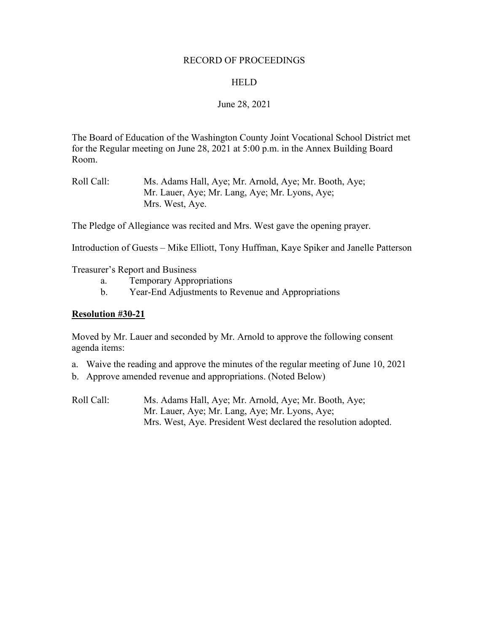#### RECORD OF PROCEEDINGS

#### **HELD**

#### June 28, 2021

The Board of Education of the Washington County Joint Vocational School District met for the Regular meeting on June 28, 2021 at 5:00 p.m. in the Annex Building Board Room.

Roll Call: Ms. Adams Hall, Aye; Mr. Arnold, Aye; Mr. Booth, Aye; Mr. Lauer, Aye; Mr. Lang, Aye; Mr. Lyons, Aye; Mrs. West, Aye.

The Pledge of Allegiance was recited and Mrs. West gave the opening prayer.

Introduction of Guests – Mike Elliott, Tony Huffman, Kaye Spiker and Janelle Patterson

Treasurer's Report and Business

- a. Temporary Appropriations
- b. Year-End Adjustments to Revenue and Appropriations

#### **Resolution #30-21**

Moved by Mr. Lauer and seconded by Mr. Arnold to approve the following consent agenda items:

- a. Waive the reading and approve the minutes of the regular meeting of June 10, 2021
- b. Approve amended revenue and appropriations. (Noted Below)
- Roll Call: Ms. Adams Hall, Aye; Mr. Arnold, Aye; Mr. Booth, Aye; Mr. Lauer, Aye; Mr. Lang, Aye; Mr. Lyons, Aye; Mrs. West, Aye. President West declared the resolution adopted.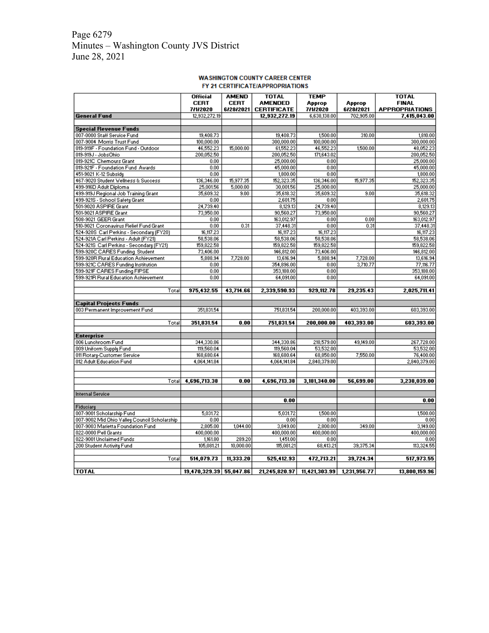### Page 6279 Minutes – Washington County JVS District June 28, 2021

#### **WASHINGTON COUNTY CAREER CENTER** FY 21 CERTIFICATE/APPROPRIATIONS

|                                              | <b>Official</b><br><b>CERT</b> | <b>AMEND</b><br><b>CERT</b> | <b>TOTAL</b><br><b>AMENDED</b> | <b>TEMP</b><br>Approp | Approp       | <b>TOTAL</b><br><b>FINAL</b> |
|----------------------------------------------|--------------------------------|-----------------------------|--------------------------------|-----------------------|--------------|------------------------------|
|                                              | 7/1/2020                       | 6/28/2021                   | <b>CERTIFICATE</b>             | 7/1/2020              | 6/28/2021    | <b>APPROPRIATIONS</b>        |
| <b>General Fund</b>                          | 12,932,272.19                  |                             | 12,932,272.19                  | 6,638,138.00          | 702,905.00   | 7,415,043.00                 |
| <b>Special Revenue Funds</b>                 |                                |                             |                                |                       |              |                              |
| 007-0000 Staff Service Fund                  | 19,408.73                      |                             | 19,408.73                      | 1,500.00              | 310.00       | 1,810.00                     |
| 007-9004 Morris Trust Fund                   | 100,000.00                     |                             | 300,000.00                     | 100,000.00            |              | 300,000.00                   |
| 019-919F - Foundation Fund - Outdoor         | 46,552.23                      | 15,000.00                   | 61,552.23                      | 46,552.23             | 1,500.00     | 48,052.23                    |
| 019-919J - JobsOhio                          | 200,052.50                     |                             | 200,052.50                     | 171,643.02            |              | 200,052.50                   |
| 019-921C Chemours Grant                      | 0.00                           |                             | 25,000.00                      | 0.00                  |              | 25,000.00                    |
| 019-921F - Foundation Fund Awards            | 0.00                           |                             | 45,000.00                      | 0.00                  |              | 45,000.00                    |
| 451-9021 K-12 Subsidy                        | 0.00                           |                             | 1,800.00                       | 0.00                  |              | 1,800.00                     |
| 467-9020 Student Wellness & Success          | 136,346.00                     | 15,977.35                   | 152,323.35                     | 136,346.00            | 15,977.35    | 152,323.35                   |
| 499-916D Adult Diploma                       | 25,001.56                      | 5,000.00                    | 30,001.56                      | 25,000.00             |              | 25,000.00                    |
| 499-919J Regional Job Training Grant         | 35,609.32                      | 9.00                        | 35,618.32                      | 35,609.32             | 9.00         | 35,618.32                    |
| 499-921S - School Safety Grant               | 0.00                           |                             | 2,601.75                       | 0.00                  |              | 2,601.75                     |
| 501-9020 ASPIRE Grant                        | 24,739.40                      |                             | 8,129.13                       | 24,739.40             |              | 8,129.13                     |
| 501-9021 ASPIRE Grant                        | 73,950.00                      |                             | 90,560.27                      | 73,950.00             |              | 90,560.27                    |
| 508-9021 GEER Grant                          | 0.00                           |                             | 163,012.97                     | 0.00                  | 0.00         | 163,012.97                   |
| 510-9021 Coronavirus Relief Fund Grant       | 0.00                           | 0.31                        | 37,448.31                      | 0.00                  | 0.31         | 37,448.31                    |
| 524-920S Carl Perkins - Secondary (FY20)     | 16,117.23                      |                             | 16,117.23                      | 16,117.23             |              | 16,117.23                    |
| 524-921A Carl Perkins - Adult (FY21)         | 58,538.06                      |                             | 58,538.06                      | 58,538.06             |              | 58,538.06                    |
| 524-921S Carl Perkins - Secondary (FY21)     | 159,822.58                     |                             | 159,822.58                     | 159,822.58            |              | 159,822.58                   |
| 599-920C CARES Funding Student               | 73,406.00                      |                             | 146,812.00                     | 73,406.00             |              | 146,812.00                   |
| 599-920R Rural Education Achievement         | 5,888.94                       | 7,728.00                    | 13,616.94                      | 5,888.94              | 7,728.00     | 13,616.94                    |
| 599-921C CARES Funding Institution           | 0.00                           |                             | 354,896.00                     | 0.00                  | 3,710.77     | 77,116.77                    |
| 599-921F CARES Funding FIPSE                 | 0.00                           |                             | 353,188.00                     | 0.00                  |              | 353,188.00                   |
| 599-921R Rural Education Achievement         | 0.00                           |                             | 64,091.00                      | 0.00                  |              | 64,091.00                    |
|                                              |                                |                             |                                |                       |              |                              |
| Total                                        | 975,432.55                     | 43,714.66                   | 2,339,590.93                   | 929,112.78            | 29,235.43    | 2,025,711.41                 |
|                                              |                                |                             |                                |                       |              |                              |
| <b>Capital Projects Funds</b>                |                                |                             |                                |                       |              |                              |
| 003 Permanent Improvement Fund               | 351,831.54                     |                             | 751,831.54                     | 200,000.00            | 403,393.00   | 603,393.00                   |
|                                              |                                |                             |                                |                       |              |                              |
| Total                                        | 351,831.54                     | 0.00                        | 751,831.54                     | 200,000.00            | 403,393.00   | 603,393.00                   |
| <b>Enterprise</b>                            |                                |                             |                                |                       |              |                              |
| 006 Lunchroom Fund                           | 344,330.86                     |                             | 344,330.86                     | 218,579.00            | 49,149.00    | 267,728.00                   |
| 009 Uniform Supply Fund                      | 119,560.04                     |                             | 119,560.04                     | 53,532.00             |              | 53,532.00                    |
| 011 Rotary-Customer Service                  | 168,680.64                     |                             | 168,680.64                     | 68,850.00             | 7,550.00     | 76,400.00                    |
| 012 Adult Education Fund                     | 4,064,141.84                   |                             | 4,064,141.84                   | 2,840,379.00          |              | 2,840,379.00                 |
|                                              |                                |                             |                                |                       |              |                              |
|                                              |                                |                             |                                |                       |              |                              |
| Total                                        | 4,696,713.38                   | 0.00                        | 4,696,713.38                   | 3,181,340.00          | 56,699.00    | 3,238,039.00                 |
|                                              |                                |                             |                                |                       |              |                              |
| <b>Internal Service</b>                      |                                |                             |                                |                       |              |                              |
|                                              |                                |                             | 0.00                           |                       |              | 0.00                         |
| Fiduciary                                    |                                |                             |                                |                       |              |                              |
| 007-9001 Scholarship Fund                    | 5,031.72                       |                             | 5,031.72                       | 1,500.00              |              | 1,500.00                     |
| 007-9002 Mid Ohio Valley Council Scholarship | 0.00                           |                             | 0.00                           | 0.00                  |              | 0.00                         |
| 007-9003 Marietta Foundation Fund            | 2,805.00                       | 1,044.00                    | 3,849.00                       | 2,800.00              | 349.00       | 3,149.00                     |
| 022-0000 Pell Grants                         | 400,000.00                     |                             | 400,000.00                     | 400,000.00            |              | 400,000.00                   |
| 022-9001 Unclaimed Funds                     | 1,161.80                       | 289.20                      | 1,451.00                       | 0.00                  |              | 0.00                         |
| 200 Student Activity Fund                    | 105,081.21                     | 10,000.00                   | 115,081.21                     | 68,413.21             | 39,375.34    | 113,324.55                   |
|                                              |                                |                             |                                |                       |              |                              |
| Total                                        | 514,079.73                     | 11,333.20                   | 525,412.93                     | 472,713.21            | 39,724.34    | 517,973.55                   |
|                                              |                                |                             |                                |                       |              |                              |
| <b>TOTAL</b>                                 | 19,470,329.39 55,047.86        |                             | 21,245,820.97                  | 11,421,303.99         | 1,231,956.77 | 13,800,159.96                |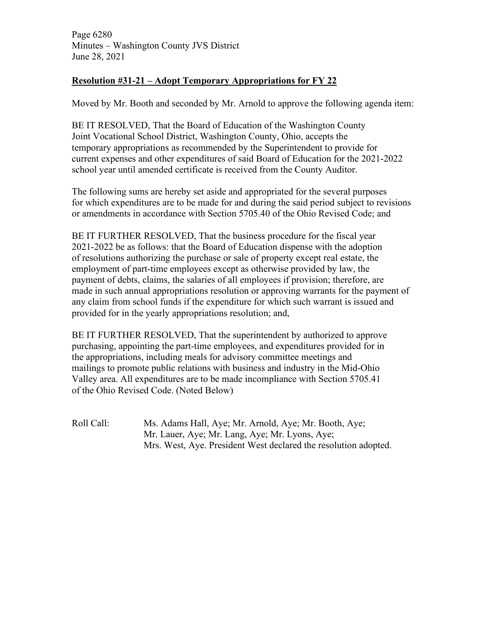# **Resolution #31-21 – Adopt Temporary Appropriations for FY 22**

Moved by Mr. Booth and seconded by Mr. Arnold to approve the following agenda item:

BE IT RESOLVED, That the Board of Education of the Washington County Joint Vocational School District, Washington County, Ohio, accepts the temporary appropriations as recommended by the Superintendent to provide for current expenses and other expenditures of said Board of Education for the 2021-2022 school year until amended certificate is received from the County Auditor.

The following sums are hereby set aside and appropriated for the several purposes for which expenditures are to be made for and during the said period subject to revisions or amendments in accordance with Section 5705.40 of the Ohio Revised Code; and

BE IT FURTHER RESOLVED, That the business procedure for the fiscal year 2021-2022 be as follows: that the Board of Education dispense with the adoption of resolutions authorizing the purchase or sale of property except real estate, the employment of part-time employees except as otherwise provided by law, the payment of debts, claims, the salaries of all employees if provision; therefore, are made in such annual appropriations resolution or approving warrants for the payment of any claim from school funds if the expenditure for which such warrant is issued and provided for in the yearly appropriations resolution; and,

BE IT FURTHER RESOLVED, That the superintendent by authorized to approve purchasing, appointing the part-time employees, and expenditures provided for in the appropriations, including meals for advisory committee meetings and mailings to promote public relations with business and industry in the Mid-Ohio Valley area. All expenditures are to be made incompliance with Section 5705.41 of the Ohio Revised Code. (Noted Below)

Roll Call: Ms. Adams Hall, Aye; Mr. Arnold, Aye; Mr. Booth, Aye; Mr. Lauer, Aye; Mr. Lang, Aye; Mr. Lyons, Aye; Mrs. West, Aye. President West declared the resolution adopted.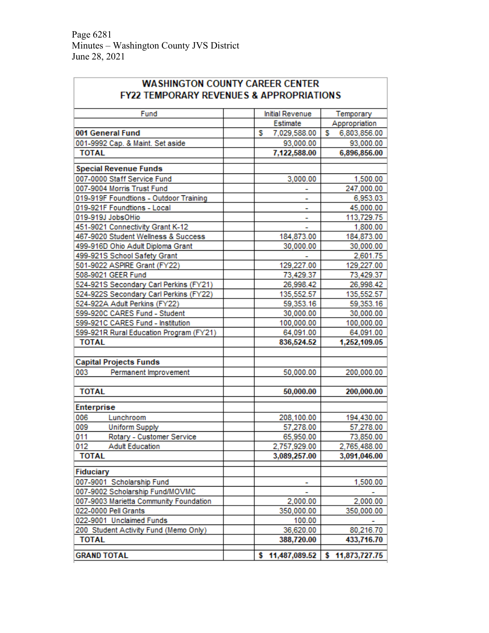| <b>WASHINGTON COUNTY CAREER CENTER</b><br><b>FY22 TEMPORARY REVENUES &amp; APPROPRIATIONS</b> |                        |                     |  |  |
|-----------------------------------------------------------------------------------------------|------------------------|---------------------|--|--|
| Fund                                                                                          | <b>Initial Revenue</b> | Temporary           |  |  |
|                                                                                               | Estimate               | Appropriation       |  |  |
| 001 General Fund                                                                              | s<br>7,029,588.00      | s<br>6,803,856.00   |  |  |
| 001-9992 Cap. & Maint. Set aside                                                              | 93,000.00              | 93,000.00           |  |  |
| <b>TOTAL</b>                                                                                  | 7,122,588.00           | 6,896,856.00        |  |  |
| <b>Special Revenue Funds</b>                                                                  |                        |                     |  |  |
| 007-0000 Staff Service Fund                                                                   | 3,000.00               | 1,500.00            |  |  |
| 007-9004 Morris Trust Fund                                                                    |                        | 247,000.00          |  |  |
| 019-919F Foundtions - Outdoor Training                                                        | L,                     | 6,953.03            |  |  |
| 019-921F Foundtions - Local                                                                   | L,                     | 45,000.00           |  |  |
| 019-919J JobsOHio                                                                             | ÷,                     | 113,729.75          |  |  |
| 451-9021 Connectivity Grant K-12                                                              |                        | 1,800.00            |  |  |
| 467-9020 Student Wellness & Success                                                           | 184,873.00             | 184,873.00          |  |  |
| 499-916D Ohio Adult Diploma Grant                                                             | 30,000.00              | 30,000.00           |  |  |
| 499-921S School Safety Grant                                                                  |                        | 2,601.75            |  |  |
| 501-9022 ASPIRE Grant (FY22)                                                                  | 129,227.00             | 129,227.00          |  |  |
| 508-9021 GEER Fund                                                                            | 73,429.37              | 73,429.37           |  |  |
| 524-921S Secondary Carl Perkins (FY21)                                                        | 26,998.42              | 26,998.42           |  |  |
| 524-922S Secondary Carl Perkins (FY22)                                                        | 135,552.57             | 135,552.57          |  |  |
| 524-922A Adult Perkins (FY22)                                                                 | 59,353.16              | 59,353.16           |  |  |
| 599-920C CARES Fund - Student                                                                 | 30,000.00              | 30,000.00           |  |  |
| 599-921C CARES Fund - Institution                                                             | 100,000.00             | 100,000.00          |  |  |
| 599-921R Rural Education Program (FY21)                                                       | 64,091.00              | 64,091.00           |  |  |
| <b>TOTAL</b>                                                                                  | 836,524.52             | 1,252,109.05        |  |  |
| <b>Capital Projects Funds</b>                                                                 |                        |                     |  |  |
| 003<br>Permanent Improvement                                                                  |                        |                     |  |  |
|                                                                                               | 50,000.00              | 200,000.00          |  |  |
| <b>TOTAL</b>                                                                                  | 50,000.00              | 200,000.00          |  |  |
| Enterprise                                                                                    |                        |                     |  |  |
| 006<br>Lunchroom                                                                              | 208,100.00             | 194,430.00          |  |  |
| 009<br><b>Uniform Supply</b>                                                                  | 57,278.00              | 57,278.00           |  |  |
| 011<br>Rotary - Customer Service                                                              | 65,950.00              | 73,850.00           |  |  |
| <b>Adult Education</b><br>012                                                                 | 2,757,929.00           | 2,765,488.00        |  |  |
| <b>TOTAL</b>                                                                                  | 3,089,257.00           | 3,091,046.00        |  |  |
| Fiduciary                                                                                     |                        |                     |  |  |
| 007-9001 Scholarship Fund                                                                     |                        | 1,500.00            |  |  |
| 007-9002 Scholarship Fund/MOVMC                                                               |                        |                     |  |  |
| 007-9003 Marietta Community Foundation                                                        | 2,000.00               | 2,000.00            |  |  |
| 022-0000 Pell Grants                                                                          | 350,000.00             | 350,000.00          |  |  |
| 022-9001 Unclaimed Funds                                                                      | 100.00                 |                     |  |  |
| 200 Student Activity Fund (Memo Only)                                                         | 36,620.00              | 80,216.70           |  |  |
| <b>TOTAL</b>                                                                                  | 388,720.00             | 433,716.70          |  |  |
| <b>GRAND TOTAL</b>                                                                            | s.<br>11,487,089.52    | 11,873,727.75<br>s. |  |  |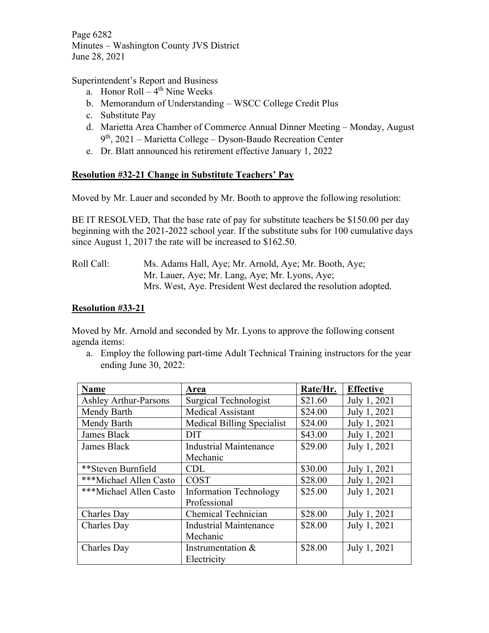Page 6282 Minutes – Washington County JVS District June 28, 2021

#### Superintendent's Report and Business

- a. Honor Roll  $4<sup>th</sup>$  Nine Weeks
- b. Memorandum of Understanding WSCC College Credit Plus
- c. Substitute Pay
- d. Marietta Area Chamber of Commerce Annual Dinner Meeting Monday, August  $9<sup>th</sup>$ , 2021 – Marietta College – Dyson-Baudo Recreation Center
- e. Dr. Blatt announced his retirement effective January 1, 2022

# **Resolution #32-21 Change in Substitute Teachers' Pay**

Moved by Mr. Lauer and seconded by Mr. Booth to approve the following resolution:

BE IT RESOLVED, That the base rate of pay for substitute teachers be \$150.00 per day beginning with the 2021-2022 school year. If the substitute subs for 100 cumulative days since August 1, 2017 the rate will be increased to \$162.50.

### Roll Call: Ms. Adams Hall, Aye; Mr. Arnold, Aye; Mr. Booth, Aye; Mr. Lauer, Aye; Mr. Lang, Aye; Mr. Lyons, Aye; Mrs. West, Aye. President West declared the resolution adopted.

# **Resolution #33-21**

Moved by Mr. Arnold and seconded by Mr. Lyons to approve the following consent agenda items:

a. Employ the following part-time Adult Technical Training instructors for the year ending June 30, 2022:

| <b>Name</b>                  | Area                          | Rate/Hr. | <b>Effective</b> |
|------------------------------|-------------------------------|----------|------------------|
| <b>Ashley Arthur-Parsons</b> | Surgical Technologist         | \$21.60  | July 1, 2021     |
| Mendy Barth                  | <b>Medical Assistant</b>      | \$24.00  | July 1, 2021     |
| Mendy Barth                  | Medical Billing Specialist    | \$24.00  | July 1, 2021     |
| James Black                  | <b>DIT</b>                    | \$43.00  | July 1, 2021     |
| James Black                  | <b>Industrial Maintenance</b> | \$29.00  | July 1, 2021     |
|                              | Mechanic                      |          |                  |
| **Steven Burnfield           | <b>CDL</b>                    | \$30.00  | July 1, 2021     |
| ***Michael Allen Casto       | <b>COST</b>                   | \$28.00  | July 1, 2021     |
| ***Michael Allen Casto       | <b>Information Technology</b> | \$25.00  | July 1, 2021     |
|                              | Professional                  |          |                  |
| Charles Day                  | Chemical Technician           | \$28.00  | July 1, 2021     |
| Charles Day                  | <b>Industrial Maintenance</b> | \$28.00  | July 1, 2021     |
|                              | Mechanic                      |          |                  |
| Charles Day                  | Instrumentation &             | \$28.00  | July 1, 2021     |
|                              | Electricity                   |          |                  |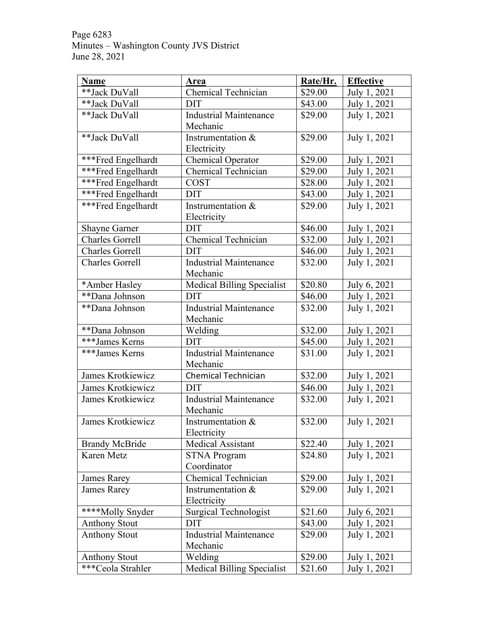Page 6283 Minutes – Washington County JVS District June 28, 2021

| <b>Name</b>            | <b>Area</b>                       | Rate/Hr. | <b>Effective</b> |
|------------------------|-----------------------------------|----------|------------------|
| **Jack DuVall          | Chemical Technician               | \$29.00  | July 1, 2021     |
| **Jack DuVall          | <b>DIT</b>                        | \$43.00  | July 1, 2021     |
| **Jack DuVall          | <b>Industrial Maintenance</b>     | \$29.00  | July 1, 2021     |
|                        | Mechanic                          |          |                  |
| **Jack DuVall          | Instrumentation &                 | \$29.00  | July 1, 2021     |
|                        | Electricity                       |          |                  |
| ***Fred Engelhardt     | <b>Chemical Operator</b>          | \$29.00  | July 1, 2021     |
| ***Fred Engelhardt     | Chemical Technician               | \$29.00  | July 1, 2021     |
| ***Fred Engelhardt     | <b>COST</b>                       | \$28.00  | July 1, 2021     |
| ***Fred Engelhardt     | <b>DIT</b>                        | \$43.00  | July 1, 2021     |
| ***Fred Engelhardt     | Instrumentation &                 | \$29.00  | July 1, 2021     |
|                        | Electricity                       |          |                  |
| <b>Shayne Garner</b>   | <b>DIT</b>                        | \$46.00  | July 1, 2021     |
| <b>Charles Gorrell</b> | Chemical Technician               | \$32.00  | July 1, 2021     |
| <b>Charles Gorrell</b> | <b>DIT</b>                        | \$46.00  | July 1, 2021     |
| <b>Charles Gorrell</b> | <b>Industrial Maintenance</b>     | \$32.00  | July 1, 2021     |
|                        | Mechanic                          |          |                  |
| *Amber Hasley          | <b>Medical Billing Specialist</b> | \$20.80  | July 6, 2021     |
| **Dana Johnson         | <b>DIT</b>                        | \$46.00  | July 1, 2021     |
| **Dana Johnson         | <b>Industrial Maintenance</b>     | \$32.00  | July 1, 2021     |
|                        | Mechanic                          |          |                  |
| **Dana Johnson         | Welding                           | \$32.00  | July 1, 2021     |
| ***James Kerns         | <b>DIT</b>                        | \$45.00  | July 1, 2021     |
| ***James Kerns         | <b>Industrial Maintenance</b>     | \$31.00  | July 1, 2021     |
|                        | Mechanic                          |          |                  |
| James Krotkiewicz      | Chemical Technician               | \$32.00  | July 1, 2021     |
| James Krotkiewicz      | <b>DIT</b>                        | \$46.00  | July 1, 2021     |
| James Krotkiewicz      | <b>Industrial Maintenance</b>     | \$32.00  | July 1, 2021     |
|                        | Mechanic                          |          |                  |
| James Krotkiewicz      | Instrumentation &                 | \$32.00  | July 1, 2021     |
|                        | Electricity                       |          |                  |
| <b>Brandy McBride</b>  | <b>Medical Assistant</b>          | \$22.40  | July 1, 2021     |
| Karen Metz             | <b>STNA Program</b>               | \$24.80  | July 1, 2021     |
|                        | Coordinator                       |          |                  |
| James Rarey            | Chemical Technician               | \$29.00  | July 1, 2021     |
| James Rarey            | Instrumentation &                 | \$29.00  | July 1, 2021     |
|                        | Electricity                       |          |                  |
| ****Molly Snyder       | <b>Surgical Technologist</b>      | \$21.60  | July 6, 2021     |
| <b>Anthony Stout</b>   | <b>DIT</b>                        | \$43.00  | July 1, 2021     |
| <b>Anthony Stout</b>   | <b>Industrial Maintenance</b>     | \$29.00  | July 1, 2021     |
|                        | Mechanic                          |          |                  |
| <b>Anthony Stout</b>   | Welding                           | \$29.00  | July 1, 2021     |
| ***Ceola Strahler      | Medical Billing Specialist        | \$21.60  | July 1, 2021     |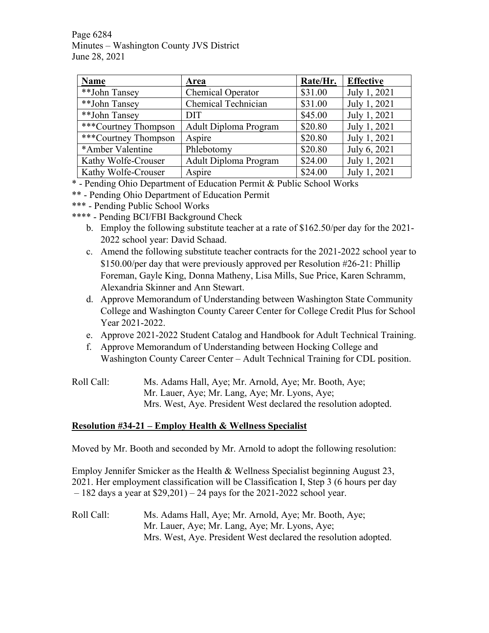Page 6284 Minutes – Washington County JVS District June 28, 2021

| Name                 | Area                     | Rate/Hr. | <b>Effective</b> |
|----------------------|--------------------------|----------|------------------|
| **John Tansey        | <b>Chemical Operator</b> | \$31.00  | July 1, 2021     |
| **John Tansey        | Chemical Technician      | \$31.00  | July 1, 2021     |
| **John Tansey        | <b>DIT</b>               | \$45.00  | July 1, 2021     |
| ***Courtney Thompson | Adult Diploma Program    | \$20.80  | July 1, 2021     |
| ***Courtney Thompson | Aspire                   | \$20.80  | July 1, 2021     |
| *Amber Valentine     | Phlebotomy               | \$20.80  | July 6, 2021     |
| Kathy Wolfe-Crouser  | Adult Diploma Program    | \$24.00  | July 1, 2021     |
| Kathy Wolfe-Crouser  | Aspire                   | \$24.00  | July 1, 2021     |

\* - Pending Ohio Department of Education Permit & Public School Works

- \*\* Pending Ohio Department of Education Permit
- \*\*\* Pending Public School Works
- \*\*\*\* Pending BCI/FBI Background Check
	- b. Employ the following substitute teacher at a rate of \$162.50/per day for the 2021- 2022 school year: David Schaad.
	- c. Amend the following substitute teacher contracts for the 2021-2022 school year to \$150.00/per day that were previously approved per Resolution #26-21: Phillip Foreman, Gayle King, Donna Matheny, Lisa Mills, Sue Price, Karen Schramm, Alexandria Skinner and Ann Stewart.
	- d. Approve Memorandum of Understanding between Washington State Community College and Washington County Career Center for College Credit Plus for School Year 2021-2022.
	- e. Approve 2021-2022 Student Catalog and Handbook for Adult Technical Training.
	- f. Approve Memorandum of Understanding between Hocking College and Washington County Career Center – Adult Technical Training for CDL position.
- Roll Call: Ms. Adams Hall, Aye; Mr. Arnold, Aye; Mr. Booth, Aye; Mr. Lauer, Aye; Mr. Lang, Aye; Mr. Lyons, Aye; Mrs. West, Aye. President West declared the resolution adopted.

# **Resolution #34-21 – Employ Health & Wellness Specialist**

Moved by Mr. Booth and seconded by Mr. Arnold to adopt the following resolution:

Employ Jennifer Smicker as the Health & Wellness Specialist beginning August 23, 2021. Her employment classification will be Classification I, Step 3 (6 hours per day  $-182$  days a year at \$29,201) – 24 pays for the 2021-2022 school year.

Roll Call: Ms. Adams Hall, Aye; Mr. Arnold, Aye; Mr. Booth, Aye; Mr. Lauer, Aye; Mr. Lang, Aye; Mr. Lyons, Aye; Mrs. West, Aye. President West declared the resolution adopted.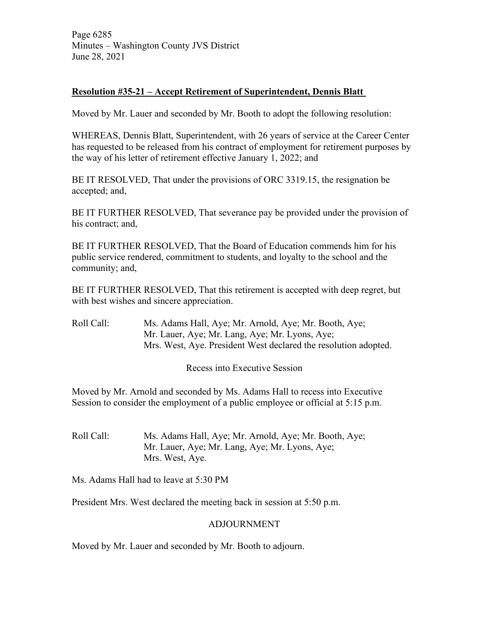Page 6285 Minutes – Washington County JVS District June 28, 2021

# **Resolution #35-21 – Accept Retirement of Superintendent, Dennis Blatt**

Moved by Mr. Lauer and seconded by Mr. Booth to adopt the following resolution:

WHEREAS, Dennis Blatt, Superintendent, with 26 years of service at the Career Center has requested to be released from his contract of employment for retirement purposes by the way of his letter of retirement effective January 1, 2022; and

BE IT RESOLVED, That under the provisions of ORC 3319.15, the resignation be accepted; and,

BE IT FURTHER RESOLVED, That severance pay be provided under the provision of his contract; and,

BE IT FURTHER RESOLVED, That the Board of Education commends him for his public service rendered, commitment to students, and loyalty to the school and the community; and,

BE IT FURTHER RESOLVED, That this retirement is accepted with deep regret, but with best wishes and sincere appreciation.

Roll Call: Ms. Adams Hall, Aye; Mr. Arnold, Aye; Mr. Booth, Aye; Mr. Lauer, Aye; Mr. Lang, Aye; Mr. Lyons, Aye; Mrs. West, Aye. President West declared the resolution adopted.

Recess into Executive Session

Moved by Mr. Arnold and seconded by Ms. Adams Hall to recess into Executive Session to consider the employment of a public employee or official at 5:15 p.m.

Roll Call: Ms. Adams Hall, Aye; Mr. Arnold, Aye; Mr. Booth, Aye; Mr. Lauer, Aye; Mr. Lang, Aye; Mr. Lyons, Aye; Mrs. West, Aye.

Ms. Adams Hall had to leave at 5:30 PM

President Mrs. West declared the meeting back in session at 5:50 p.m.

#### ADJOURNMENT

Moved by Mr. Lauer and seconded by Mr. Booth to adjourn.